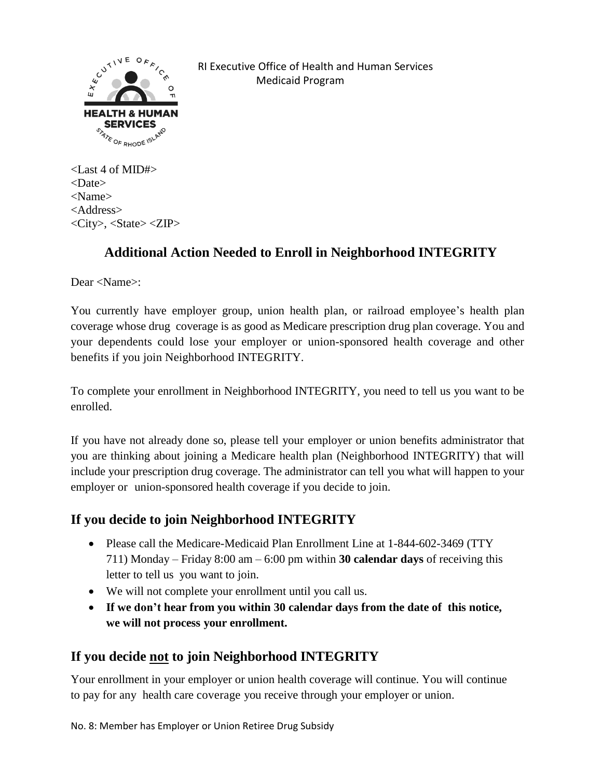

 RI Executive Office of Health and Human Services Medicaid Program

 $\langle$ Last 4 of MID# $>$ <Date> <Name> <Address> <City>, <State> <ZIP>

# **Additional Action Needed to Enroll in Neighborhood INTEGRITY**

Dear <Name>:

You currently have employer group, union health plan, or railroad employee's health plan coverage whose drug coverage is as good as Medicare prescription drug plan coverage. You and your dependents could lose your employer or union-sponsored health coverage and other benefits if you join Neighborhood INTEGRITY.

To complete your enrollment in Neighborhood INTEGRITY, you need to tell us you want to be enrolled.

If you have not already done so, please tell your employer or union benefits administrator that you are thinking about joining a Medicare health plan (Neighborhood INTEGRITY) that will include your prescription drug coverage. The administrator can tell you what will happen to your employer or union-sponsored health coverage if you decide to join.

## **If you decide to join Neighborhood INTEGRITY**

- Please call the Medicare-Medicaid Plan Enrollment Line at 1-844-602-3469 (TTY 711) Monday – Friday 8:00 am – 6:00 pm within **30 calendar days** of receiving this letter to tell us you want to join.
- We will not complete your enrollment until you call us.
- **If we don't hear from you within 30 calendar days from the date of this notice, we will not process your enrollment.**

## **If you decide not to join Neighborhood INTEGRITY**

Your enrollment in your employer or union health coverage will continue. You will continue to pay for any health care coverage you receive through your employer or union.

No. 8: Member has Employer or Union Retiree Drug Subsidy